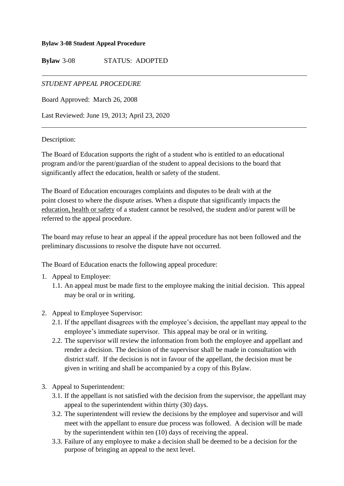#### **Bylaw 3-08 Student Appeal Procedure**

**Bylaw** 3-08 STATUS: ADOPTED

### *STUDENT APPEAL PROCEDURE*

Board Approved: March 26, 2008

Last Reviewed: June 19, 2013; April 23, 2020

#### Description:

The Board of Education supports the right of a student who is entitled to an educational program and/or the parent/guardian of the student to appeal decisions to the board that significantly affect the education, health or safety of the student.

The Board of Education encourages complaints and disputes to be dealt with at the point closest to where the dispute arises. When a dispute that significantly impacts the education, health or safety of a student cannot be resolved, the student and/or parent will be referred to the appeal procedure.

The board may refuse to hear an appeal if the appeal procedure has not been followed and the preliminary discussions to resolve the dispute have not occurred.

The Board of Education enacts the following appeal procedure:

- 1. Appeal to Employee:
	- 1.1. An appeal must be made first to the employee making the initial decision. This appeal may be oral or in writing.
- 2. Appeal to Employee Supervisor:
	- 2.1. If the appellant disagrees with the employee's decision, the appellant may appeal to the employee's immediate supervisor. This appeal may be oral or in writing.
	- 2.2. The supervisor will review the information from both the employee and appellant and render a decision. The decision of the supervisor shall be made in consultation with district staff. If the decision is not in favour of the appellant, the decision must be given in writing and shall be accompanied by a copy of this Bylaw.
- 3. Appeal to Superintendent:
	- 3.1. If the appellant is not satisfied with the decision from the supervisor, the appellant may appeal to the superintendent within thirty (30) days.
	- 3.2. The superintendent will review the decisions by the employee and supervisor and will meet with the appellant to ensure due process was followed. A decision will be made by the superintendent within ten (10) days of receiving the appeal.
	- 3.3. Failure of any employee to make a decision shall be deemed to be a decision for the purpose of bringing an appeal to the next level.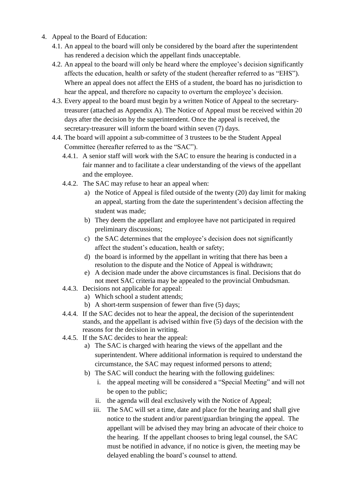- 4. Appeal to the Board of Education:
	- 4.1. An appeal to the board will only be considered by the board after the superintendent has rendered a decision which the appellant finds unacceptable.
	- 4.2. An appeal to the board will only be heard where the employee's decision significantly affects the education, health or safety of the student (hereafter referred to as "EHS"). Where an appeal does not affect the EHS of a student, the board has no jurisdiction to hear the appeal, and therefore no capacity to overturn the employee's decision.
	- 4.3. Every appeal to the board must begin by a written Notice of Appeal to the secretarytreasurer (attached as Appendix A). The Notice of Appeal must be received within 20 days after the decision by the superintendent. Once the appeal is received, the secretary-treasurer will inform the board within seven (7) days.
	- 4.4. The board will appoint a sub-committee of 3 trustees to be the Student Appeal Committee (hereafter referred to as the "SAC").
		- 4.4.1. A senior staff will work with the SAC to ensure the hearing is conducted in a fair manner and to facilitate a clear understanding of the views of the appellant and the employee.
		- 4.4.2. The SAC may refuse to hear an appeal when:
			- a) the Notice of Appeal is filed outside of the twenty (20) day limit for making an appeal, starting from the date the superintendent's decision affecting the student was made;
			- b) They deem the appellant and employee have not participated in required preliminary discussions;
			- c) the SAC determines that the employee's decision does not significantly affect the student's education, health or safety;
			- d) the board is informed by the appellant in writing that there has been a resolution to the dispute and the Notice of Appeal is withdrawn;
			- e) A decision made under the above circumstances is final. Decisions that do not meet SAC criteria may be appealed to the provincial Ombudsman.
		- 4.4.3. Decisions not applicable for appeal:
			- a) Which school a student attends;
			- b) A short-term suspension of fewer than five (5) days;
		- 4.4.4. If the SAC decides not to hear the appeal, the decision of the superintendent stands, and the appellant is advised within five (5) days of the decision with the reasons for the decision in writing.
		- 4.4.5. If the SAC decides to hear the appeal:
			- a) The SAC is charged with hearing the views of the appellant and the superintendent. Where additional information is required to understand the circumstance, the SAC may request informed persons to attend;
			- b) The SAC will conduct the hearing with the following guidelines:
				- i. the appeal meeting will be considered a "Special Meeting" and will not be open to the public;
				- ii. the agenda will deal exclusively with the Notice of Appeal;
				- iii. The SAC will set a time, date and place for the hearing and shall give notice to the student and/or parent/guardian bringing the appeal. The appellant will be advised they may bring an advocate of their choice to the hearing. If the appellant chooses to bring legal counsel, the SAC must be notified in advance, if no notice is given, the meeting may be delayed enabling the board's counsel to attend.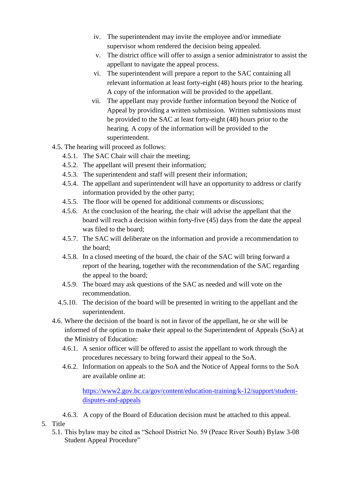- iv. The superintendent may invite the employee and/or immediate supervisor whom rendered the decision being appealed.
- v. The district office will offer to assign a senior administrator to assist the appellant to navigate the appeal process.
- vi. The superintendent will prepare a report to the SAC containing all relevant information at least forty-eight (48) hours prior to the hearing. A copy of the information will be provided to the appellant.
- vii. The appellant may provide further information beyond the Notice of Appeal by providing a written submission. Written submissions must be provided to the SAC at least forty-eight (48) hours prior to the hearing. A copy of the information will be provided to the superintendent.
- 4.5. The hearing will proceed as follows:
	- 4.5.1. The SAC Chair will chair the meeting;
	- 4.5.2. The appellant will present their information;
	- 4.5.3. The superintendent and staff will present their information;
	- 4.5.4. The appellant and superintendent will have an opportunity to address or clarify information provided by the other party;
	- 4.5.5. The floor will be opened for additional comments or discussions;
	- 4.5.6. At the conclusion of the hearing, the chair will advise the appellant that the board will reach a decision within forty-five (45) days from the date the appeal was filed to the board;
	- 4.5.7. The SAC will deliberate on the information and provide a recommendation to the board;
	- 4.5.8. In a closed meeting of the board, the chair of the SAC will bring forward a report of the hearing, together with the recommendation of the SAC regarding the appeal to the board;
	- 4.5.9. The board may ask questions of the SAC as needed and will vote on the recommendation.
	- 4.5.10. The decision of the board will be presented in writing to the appellant and the superintendent.
- 4.6. Where the decision of the board is not in favor of the appellant, he or she will be informed of the option to make their appeal to the Superintendent of Appeals (SoA) at the Ministry of Education:
	- 4.6.1. A senior officer will be offered to assist the appellant to work through the procedures necessary to bring forward their appeal to the SoA.
	- 4.6.2. Information on appeals to the SoA and the Notice of Appeal forms to the SoA are available online at:

[https://www2.gov.bc.ca/gov/content/education-training/k-12/support/student](https://www2.gov.bc.ca/gov/content/education-training/k-12/support/student-disputes-and-appeals)[disputes-and-appeals](https://www2.gov.bc.ca/gov/content/education-training/k-12/support/student-disputes-and-appeals)

- 4.6.3. A copy of the Board of Education decision must be attached to this appeal.
- 5. Title
	- 5.1. This bylaw may be cited as "School District No. 59 (Peace River South) Bylaw 3-08 Student Appeal Procedure"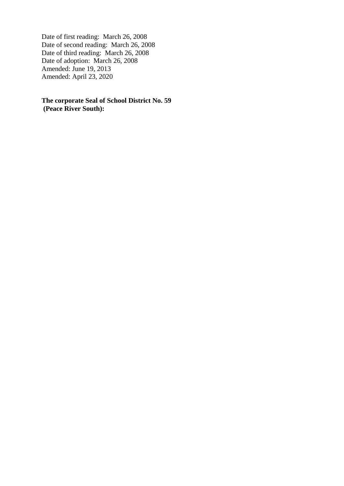Date of first reading: March 26, 2008 Date of second reading: March 26, 2008 Date of third reading: March 26, 2008 Date of adoption: March 26, 2008 Amended: June 19, 2013 Amended: April 23, 2020

**The corporate Seal of School District No. 59 (Peace River South):**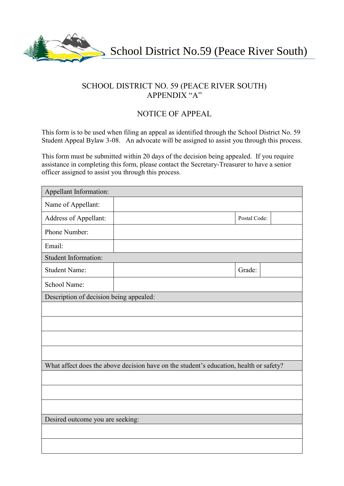

# SCHOOL DISTRICT NO. 59 (PEACE RIVER SOUTH) APPENDIX "A"

## NOTICE OF APPEAL

This form is to be used when filing an appeal as identified through the School District No. 59 Student Appeal Bylaw 3-08. An advocate will be assigned to assist you through this process.

This form must be submitted within 20 days of the decision being appealed. If you require assistance in completing this form, please contact the Secretary-Treasurer to have a senior officer assigned to assist you through this process.

| Appellant Information:                                                                 |  |              |
|----------------------------------------------------------------------------------------|--|--------------|
| Name of Appellant:                                                                     |  |              |
| Address of Appellant:                                                                  |  | Postal Code: |
| Phone Number:                                                                          |  |              |
| Email:                                                                                 |  |              |
| <b>Student Information:</b>                                                            |  |              |
| <b>Student Name:</b>                                                                   |  | Grade:       |
| School Name:                                                                           |  |              |
| Description of decision being appealed:                                                |  |              |
|                                                                                        |  |              |
|                                                                                        |  |              |
|                                                                                        |  |              |
|                                                                                        |  |              |
| What affect does the above decision have on the student's education, health or safety? |  |              |
|                                                                                        |  |              |
|                                                                                        |  |              |
|                                                                                        |  |              |
| Desired outcome you are seeking:                                                       |  |              |
|                                                                                        |  |              |
|                                                                                        |  |              |